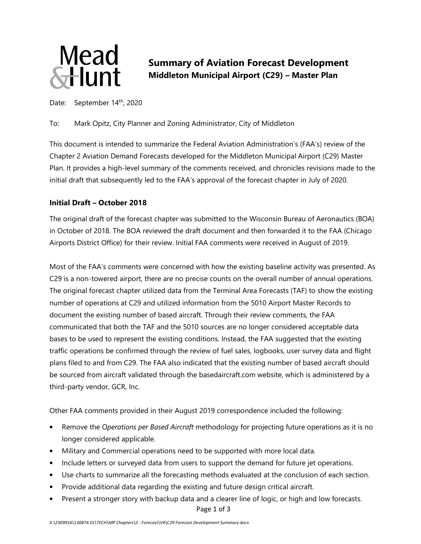

**Mead**<br>Summary of Aviation Forecast Development<br>Flunt Middleton Municipal Airport (C29) – Master Plan **Middleton Municipal Airport (C29) – Master Plan** 

Date: September 14<sup>th</sup>, 2020

To: Mark Opitz, City Planner and Zoning Administrator, City of Middleton

This document is intended to summarize the Federal Aviation Administration's (FAA's) review of the Chapter 2 Aviation Demand Forecasts developed for the Middleton Municipal Airport (C29) Master Plan. It provides a high-level summary of the comments received, and chronicles revisions made to the initial draft that subsequently led to the FAA's approval of the forecast chapter in July of 2020.

## **Initial Draft – October 2018**

The original draft of the forecast chapter was submitted to the Wisconsin Bureau of Aeronautics (BOA) in October of 2018. The BOA reviewed the draft document and then forwarded it to the FAA (Chicago Airports District Office) for their review. Initial FAA comments were received in August of 2019.

Most of the FAA's comments were concerned with how the existing baseline activity was presented. As C29 is a non-towered airport, there are no precise counts on the overall number of annual operations. The original forecast chapter utilized data from the Terminal Area Forecasts (TAF) to show the existing number of operations at C29 and utilized information from the 5010 Airport Master Records to document the existing number of based aircraft. Through their review comments, the FAA communicated that both the TAF and the 5010 sources are no longer considered acceptable data bases to be used to represent the existing conditions. Instead, the FAA suggested that the existing traffic operations be confirmed through the review of fuel sales, logbooks, user survey data and flight plans filed to and from C29. The FAA also indicated that the existing number of based aircraft should be sourced from aircraft validated through the basedaircraft.com website, which is administered by a third-party vendor, GCR, Inc.

Other FAA comments provided in their August 2019 correspondence included the following:

- Remove the *Operations per Based Aircraft* methodology for projecting future operations as it is no longer considered applicable.
- Military and Commercial operations need to be supported with more local data.
- Include letters or surveyed data from users to support the demand for future jet operations.
- Use charts to summarize all the forecasting methods evaluated at the conclusion of each section.
- Provide additional data regarding the existing and future design critical aircraft.
- Present a stronger story with backup data and a clearer line of logic, or high and low forecasts.

Page 1 of 3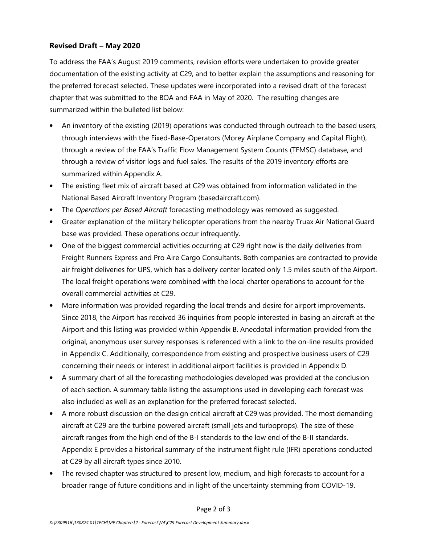## **Revised Draft – May 2020**

To address the FAA's August 2019 comments, revision efforts were undertaken to provide greater documentation of the existing activity at C29, and to better explain the assumptions and reasoning for the preferred forecast selected. These updates were incorporated into a revised draft of the forecast chapter that was submitted to the BOA and FAA in May of 2020. The resulting changes are summarized within the bulleted list below:

- An inventory of the existing (2019) operations was conducted through outreach to the based users, through interviews with the Fixed-Base-Operators (Morey Airplane Company and Capital Flight), through a review of the FAA's Traffic Flow Management System Counts (TFMSC) database, and through a review of visitor logs and fuel sales. The results of the 2019 inventory efforts are summarized within Appendix A.
- The existing fleet mix of aircraft based at C29 was obtained from information validated in the National Based Aircraft Inventory Program (basedaircraft.com).
- The *Operations per Based Aircraft* forecasting methodology was removed as suggested.
- Greater explanation of the military helicopter operations from the nearby Truax Air National Guard base was provided. These operations occur infrequently.
- One of the biggest commercial activities occurring at C29 right now is the daily deliveries from Freight Runners Express and Pro Aire Cargo Consultants. Both companies are contracted to provide air freight deliveries for UPS, which has a delivery center located only 1.5 miles south of the Airport. The local freight operations were combined with the local charter operations to account for the overall commercial activities at C29.
- More information was provided regarding the local trends and desire for airport improvements. Since 2018, the Airport has received 36 inquiries from people interested in basing an aircraft at the Airport and this listing was provided within Appendix B. Anecdotal information provided from the original, anonymous user survey responses is referenced with a link to the on-line results provided in Appendix C. Additionally, correspondence from existing and prospective business users of C29 concerning their needs or interest in additional airport facilities is provided in Appendix D.
- A summary chart of all the forecasting methodologies developed was provided at the conclusion of each section. A summary table listing the assumptions used in developing each forecast was also included as well as an explanation for the preferred forecast selected.
- A more robust discussion on the design critical aircraft at C29 was provided. The most demanding aircraft at C29 are the turbine powered aircraft (small jets and turboprops). The size of these aircraft ranges from the high end of the B-I standards to the low end of the B-II standards. Appendix E provides a historical summary of the instrument flight rule (IFR) operations conducted at C29 by all aircraft types since 2010.
- The revised chapter was structured to present low, medium, and high forecasts to account for a broader range of future conditions and in light of the uncertainty stemming from COVID-19.